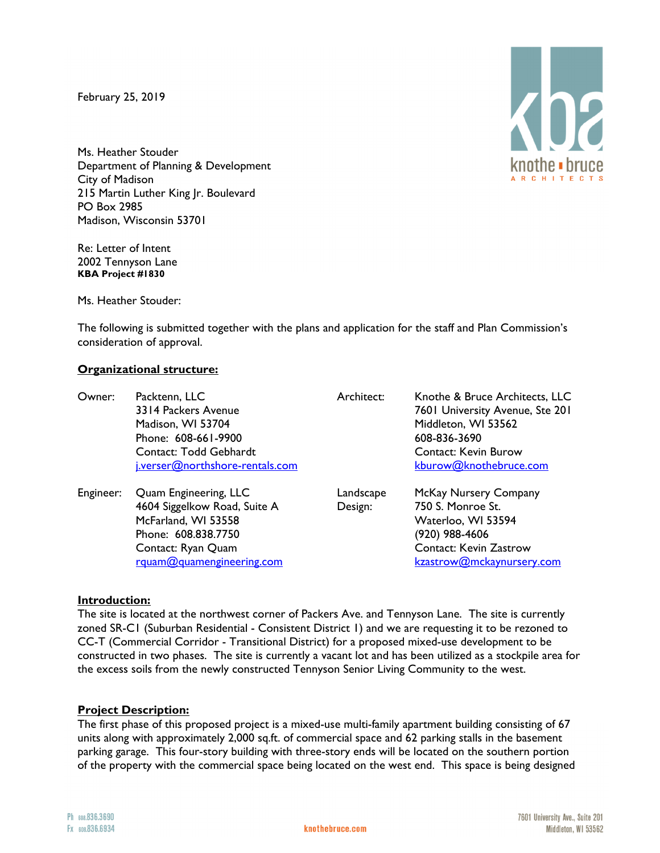February 25, 2019

Ms. Heather Stouder Department of Planning & Development City of Madison 215 Martin Luther King Jr. Boulevard PO Box 2985 Madison, Wisconsin 53701

Re: Letter of Intent 2002 Tennyson Lane **KBA Project #1830**

Ms. Heather Stouder:

The following is submitted together with the plans and application for the staff and Plan Commission's consideration of approval.

## **Organizational structure:**

| Owner:    | Packtenn, LLC<br>3314 Packers Avenue<br>Madison, WI 53704<br>Phone: 608-661-9900<br>Contact: Todd Gebhardt<br>j.verser@northshore-rentals.com | Architect:           | Knothe & Bruce Architects, LLC<br>7601 University Avenue, Ste 201<br>Middleton, WI 53562<br>608-836-3690<br><b>Contact: Kevin Burow</b><br>kburow@knothebruce.com |
|-----------|-----------------------------------------------------------------------------------------------------------------------------------------------|----------------------|-------------------------------------------------------------------------------------------------------------------------------------------------------------------|
| Engineer: | Quam Engineering, LLC<br>4604 Siggelkow Road, Suite A<br>McFarland, WI 53558<br>Phone: 608.838.7750<br>Contact: Ryan Quam                     | Landscape<br>Design: | McKay Nursery Company<br>750 S. Monroe St.<br>Waterloo, WI 53594<br>(920) 988-4606<br><b>Contact: Kevin Zastrow</b>                                               |

# rquam@quamengineering.com

kzastrow@mckaynursery.com

## **Introduction:**

The site is located at the northwest corner of Packers Ave. and Tennyson Lane. The site is currently zoned SR-C1 (Suburban Residential - Consistent District 1) and we are requesting it to be rezoned to CC-T (Commercial Corridor - Transitional District) for a proposed mixed-use development to be constructed in two phases. The site is currently a vacant lot and has been utilized as a stockpile area for the excess soils from the newly constructed Tennyson Senior Living Community to the west.

### **Project Description:**

The first phase of this proposed project is a mixed-use multi-family apartment building consisting of 67 units along with approximately 2,000 sq.ft. of commercial space and 62 parking stalls in the basement parking garage. This four-story building with three-story ends will be located on the southern portion of the property with the commercial space being located on the west end. This space is being designed

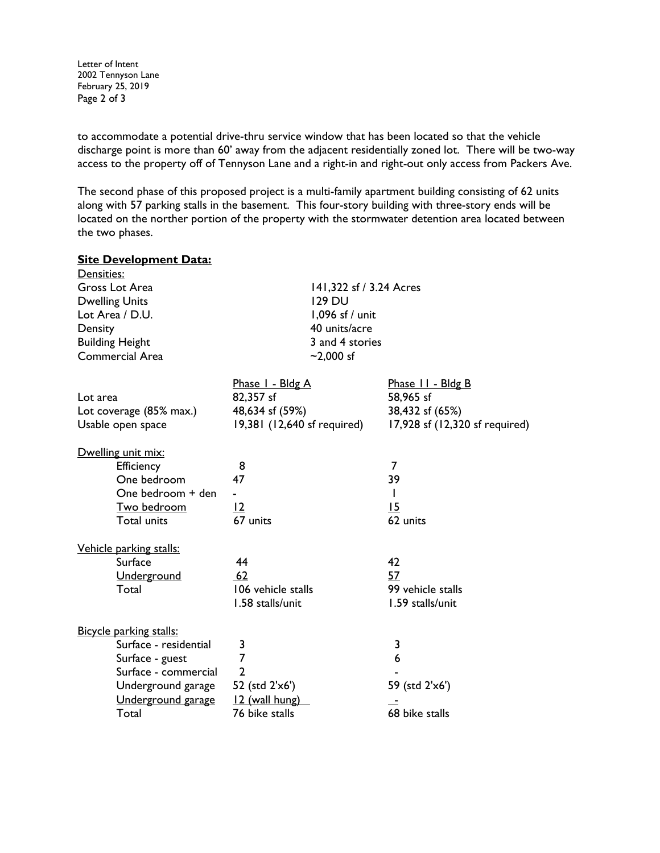Letter of Intent 2002 Tennyson Lane February 25, 2019 Page 2 of 3

to accommodate a potential drive-thru service window that has been located so that the vehicle discharge point is more than 60' away from the adjacent residentially zoned lot. There will be two-way access to the property off of Tennyson Lane and a right-in and right-out only access from Packers Ave.

The second phase of this proposed project is a multi-family apartment building consisting of 62 units along with 57 parking stalls in the basement. This four-story building with three-story ends will be located on the norther portion of the property with the stormwater detention area located between the two phases.

| <b>Site Development Data:</b> |                             |                                |  |
|-------------------------------|-----------------------------|--------------------------------|--|
| Densities:                    |                             |                                |  |
| Gross Lot Area                |                             | 141,322 sf / 3.24 Acres        |  |
| <b>Dwelling Units</b>         | <b>129 DU</b>               |                                |  |
| Lot Area / D.U.               | 1,096 sf / unit             |                                |  |
| Density                       | 40 units/acre               |                                |  |
| <b>Building Height</b>        | 3 and 4 stories             |                                |  |
| <b>Commercial Area</b>        | $-2,000$ sf                 |                                |  |
|                               | Phase I - Bldg A            | Phase 11 - Bldg B              |  |
| Lot area                      | 82,357 sf                   | 58,965 sf                      |  |
|                               |                             |                                |  |
| Lot coverage (85% max.)       | 48,634 sf (59%)             | 38,432 sf (65%)                |  |
| Usable open space             | 19,381 (12,640 sf required) | 17,928 sf (12,320 sf required) |  |
| Dwelling unit mix:            |                             |                                |  |
| Efficiency                    | 8                           | 7                              |  |
| One bedroom                   | 47                          | 39                             |  |
| One bedroom + den             | $\blacksquare$              | L                              |  |
| Two bedroom                   | 12                          | 15                             |  |
| Total units                   | 67 units                    | 62 units                       |  |
| Vehicle parking stalls:       |                             |                                |  |
| Surface                       | 44                          | 42                             |  |
|                               | 62                          | 57                             |  |
| Underground<br>Total          | 106 vehicle stalls          | 99 vehicle stalls              |  |
|                               |                             |                                |  |
|                               | 1.58 stalls/unit            | 1.59 stalls/unit               |  |
| Bicycle parking stalls:       |                             |                                |  |
| Surface - residential         | 3                           | 3                              |  |
| Surface - guest               | 7                           | 6                              |  |
| Surface - commercial          | $\overline{2}$              |                                |  |
| Underground garage            | 52 (std 2'x6')              | 59 (std 2'x6')                 |  |
| Underground garage            | 12 (wall hung)              |                                |  |
| Total                         | 76 bike stalls              | 68 bike stalls                 |  |